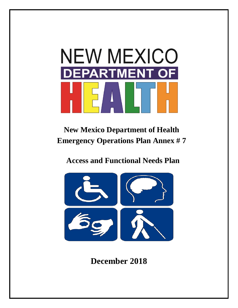

# **New Mexico Department of Health Emergency Operations Plan Annex # 7**

# **Access and Functional Needs Plan**



# **December 2018**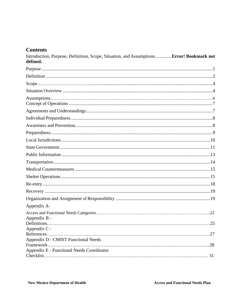# **Contents**

| Introduction, Purpose, Definition, Scope, Situation, and Assumptions Error! Bookmark not<br>defined. |  |
|------------------------------------------------------------------------------------------------------|--|
|                                                                                                      |  |
|                                                                                                      |  |
|                                                                                                      |  |
|                                                                                                      |  |
|                                                                                                      |  |
|                                                                                                      |  |
|                                                                                                      |  |
|                                                                                                      |  |
|                                                                                                      |  |
|                                                                                                      |  |
|                                                                                                      |  |
|                                                                                                      |  |
|                                                                                                      |  |
|                                                                                                      |  |
|                                                                                                      |  |
|                                                                                                      |  |
|                                                                                                      |  |
|                                                                                                      |  |
| Appendix A-                                                                                          |  |
| Appendix B -                                                                                         |  |
| Appendix C -                                                                                         |  |
| Appendix D - CMIST Functional Needs                                                                  |  |
| Framework                                                                                            |  |
| Appendix E - Functional Needs Coordinator                                                            |  |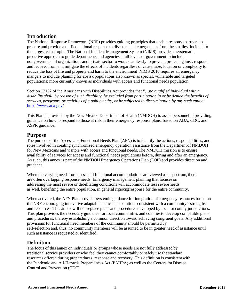## <span id="page-2-0"></span>**Introduction**

The National Response Framework (NRF) provides guiding principles that enable response partners to prepare and provide a unified national response to disasters and emergencies from the smallest incident to the largest catastrophe. The National Incident Management System (NIMS) provides a systematic, proactive approach to guide departments and agencies at all levels of government to include nongovernmental organizations and private sector to work seamlessly to prevent, protect against, respond and recover from and mitigate the effects of incidents regardless of cause, size, location or complexity to reduce the loss of life and property and harm to the environment NIMS 2010 requires all emergency mangers to include planning for at-risk populations also known as special, vulnerable and targeted populations; more currently known as individuals with access and functional needs population.

Section 12132 of the Americans with Disabilities Act provides that "…*no qualified individual with a disability shall, by reason of such disability, be excluded from participation in or be denied the benefits of services, programs, or activities of a public entity, or be subjected to discrimination by any such entity*." <https://www.ada.gov/>

This Plan is provided by the New Mexico Department of Health (NMDOH) to assist personnel in providing guidance on how to respond to those at risk in their emergency response plans, based on ADA, CDC, and ASPR guidance.

## **Purpose**

The purpose of the Access and Functional Needs Plan (AFN) is to identify the actions, responsibilities, and roles involved in creating synchronized emergency operation assistance from the Department of NMDOH for New Mexicans and visitors with access and functional needs.The NMDOH mission is to ensure availability of services for access and functional needs populations before, during and after an emergency. As such, this annex is part of the NMDOH Emergency Operations Plan (EOP) and provides direction and guidance.

When the varying needs for access and functional accommodations are viewed as a spectrum, there are often overlapping response needs. Emergency management planning that focuses on addressing the most severe or debilitating conditions will accommodate less severe needs as well, benefiting the entire population, in general improving response for the entire community.

When activated, the AFN Plan provides systemic guidance for integration of emergency resources based on the NRF encouraging innovative adaptable tactics and solutions consistent with a community'sstrengths and resources. This annex will not replace plans and procedures developed by local or county jurisdictions. This plan provides the necessary guidance for local communities and countiesto develop compatible plans and procedures, thereby establishing a common direction toward achieving congruent goals. Any additional provisions for functional need members of the community should be permitted by self-selection and, thus, no community members will be assumed to be in greater need of assistance until such assistance is requested or identified.

## <span id="page-2-1"></span>**Definition**

The focus of this annex on individuals or groups whose needs are not fully addressed by traditional service providers or who feel they cannot comfortably or safely use the standard resources offered during preparedness, response and recovery. This definition is consistent with the Pandemic and All-Hazards Preparedness Act (PAHPA) as well as the Centers forDisease Control and Prevention (CDC).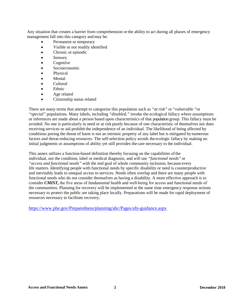Any situation that creates a barrier from comprehension orthe ability to act during all phases of emergency management fall into this category and may be:

- Permanent or temporary
- Visible or not readily identified
- Chronic or episodic
- Sensory
- Cognitive
- Socioeconomic
- Physical
- Mental
- Cultural
- Ethnic
- Age related
- Citizenship status related

There are many terms that attempt to categorize this population such as *"at risk"* or *"vulnerable "*or *"special"* populations. Many labels, including *"disabled,"* invoke the ecological fallacy where assumptions or inferences are made about a person based upon characteristics of that population group. This fallacy must be avoided. No one is particularly in need or at risk purely because of one characteristic of themselves nor does receiving services or aid prohibit the independence of an individual. The likelihood of being affected by conditions posing the threat of harm is not an intrinsic property of any label but is mitigated by numerous factors and threat-reducing resources. The self-selection policy avoids the ecologic fallacy by making no initial judgments or assumptions of ability yet still provides the care necessary to the individual.

This annex utilizes a function-based definition thereby focusing on the capabilities ofthe individual, not the condition, label or medical diagnosis; and will use *"functional needs"* or *"access and functional needs"* with the end goal of whole community inclusion, because every life matters. Identifying people with functional needs by specific disability or need is counterproductive and inevitably leads to unequal access to services. Needs often overlap and there are many people with functional needs who do not consider themselves as having a disability. A more effective approach is to consider **CMIST**, the five areas of fundamental health and well-being for access and functional needs of the communities. Planning for recovery will be implemented at the same time emergency response actions necessary to protect the public are taking place locally. Preparations will be made for rapid deployment of resources necessary to facilitate recovery.

<https://www.phe.gov/Preparedness/planning/abc/Pages/afn-guidance.aspx>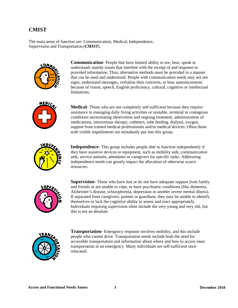## **CMIST**

The main areas of function are: Communication, Medical, Independence, Supervision and Transportation (*CMIST*).



**Communication**- People that have limited ability to see, hear, speak or understand; mainly issues that interfere with the receipt of and response to provided information. Thus, alternative methods must be provided in a manner that can be used and understood. People with communication needs may not see signs, understand messages, verbalize their concerns, or hear announcements because of vision, speech, English proficiency, cultural, cognitive or intellectual limitations.



**Medical**- Those who are not completely self-sufficient because they require: assistance in managing daily living activities or unstable, terminal or contagious conditions necessitating observation and ongoing treatment, administration of medications, intravenous therapy, catheters, tube feeding, dialysis, oxygen, support from trained medical professionals and/or medical devices. Often those with visible impediments are mistakenly put into this group.



**Independence**- This group includes people able to function independently if they have assistive devices or equipment, such as mobility aids, communication aids, service animals, attendants or caregivers for specific tasks. Addressing independence needs can greatly impact the allocation of otherwise scarce resources.



**Supervision**- Those who have lost or do not have adequate support from family and friends or are unable to cope, or have psychiatric conditions (like dementia, Alzheimer's disease, schizophrenia, depression or another severe mental illness). If separated from caregivers, parents or guardians, they may be unable to identify themselves or lack the cognitive ability to assess and react appropriately. Individuals requiring supervision often include the very young and very old, but this is not an absolute.



**Transportation-** Emergency response involves mobility, and this include people who cannot drive. Transportation needs include both the need for accessible transportation and information about where and how to access mass transportation in an emergency. Many individuals are self-sufficient once relocated.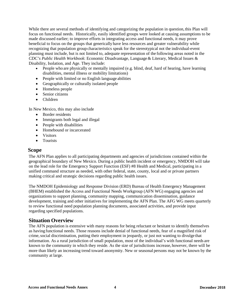<span id="page-5-0"></span>While there are several methods of identifying and categorizing the population in question, this Plan will focus on functional needs. Historically, easily identified groups were looked at causing assumptions to be made discussed earlier; to improve efforts in integrating access and functional needs, it may prove beneficial to focus on the groups that generically have less resources and greater vulnerability while recognizing that population group characteristics speak for the stereotypical not the individual-event planning must include, but is not limited to, adequate representation of the following areas noted in the *CDC's Public Health Workbook*: Economic Disadvantage, Language& Literary, Medical Issues & Disability, Isolation, and Age. They include:

- People who are physically or mentally impaired (e.g. blind, deaf, hard of hearing, have learning disabilities, mental illness or mobility limitations)
- People with limited or no English language abilities
- Geographically or culturally isolated people
- Homeless people
- Senior citizens
- Children

In New Mexico, this may also include

- Border residents
- Immigrants both legal and illegal
- People with disabilities
- Homebound or incarcerated
- Visitors
- Tourists

### **Scope**

 The AFN Plan applies to all participating departments and agencies of jurisdictions contained within the geographical boundary of New Mexico. During a public health incident or emergency, NMDOH will take on the lead role for the Emergency Support Function (ESF) #8 Health and Medical, participating in a unified command structure as needed, with other federal, state, county, local and or private partners making critical and strategic decisions regarding public health issues.

The NMDOH Epidemiology and Response Division (ERD) Bureau of Health Emergency Management (BHEM) established the Access and Functional Needs Workgroup (AFN WG) engaging agencies and organizations to support planning, community mapping, communication dissemination, guidance development, training and other initiatives for implementing the AFN Plan. The AFG WG meets quarterly to review functional need population planning documents, associated activities, and provide input regarding specified populations.

## **Situation Overview**

The AFN population is extensive with many reasons for being reluctant or hesitant to identify themselves as having functional needs. Those reasons include denial of functional needs, fear of a magnified risk of crime,social discrimination, putting their employment in jeopardy, or just not wanting to divulge that information. As a rural jurisdiction of small population, most of the individual's with functional needs are known to the community in which they reside. As the size of jurisdictions increase, however, there will be more than likely an increasing trend toward anonymity. New or seasonal persons may not be known by the community at large.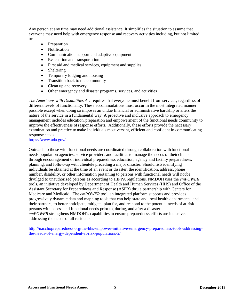Any person at any time may need additional assistance. It simplifies the situation to assume that everyone may need help with emergency response and recovery activities including, but not limited to:

- Preparation
- Notification
- Communication support and adaptive equipment
- Evacuation and transportation
- First aid and medical services, equipment and supplies
- Sheltering
- Temporary lodging and housing
- Transition back to the community
- Clean up and recovery
- Other emergency and disaster programs, services, and activities

*The Americans with Disabilities Act* requires that everyone must benefit from services, regardless of different levels of functionality. These accommodations must occur in the most integrated manner possible except when doing so imposes an undue financial or administrative hardship or alters the nature of the service in a fundamental way. A proactive and inclusive approach to emergency management includes education, preparation and empowerment of the functional needs community to improve the effectiveness ofresponse efforts. Additionally, these efforts provide the necessary examination and practice to make individuals most versant, efficient and confident in communicating response needs.

<https://www.ada.gov/>

Outreach to those with functional needs are coordinated through collaboration with functional needs population agencies, service providers and facilities to manage the needs of their clients through encouragement of individual preparedness education, agency and facility preparedness, planning, and follow-up with clientele preceding a major disaster. Should listsidentifying individuals be obtained at the time of an event or disaster, the identification, address, phone number, disability, or other information pertaining to persons with functional needs will not be divulged to unauthorized persons as according to HIPPA regulations. NMDOH uses the *emPOWER*  tools, an initiative developed by Department of Health and Human Services (HHS) and Office of the Assistant Secretary for Preparedness and Response (ASPR) thru a partnership with Centers for Medicare and Medicaid. The *emPOWER* tool, an integrated platform supports and provides progressively dynamic data and mapping tools that can help state and local health departments, and their partners, to better anticipate, mitigate, plan for, and respond to the potential needs of at-risk persons with access and functional needs prior to, during, and after a disaster. *emPOWER* strengthens NMDOH's capabilities to ensure preparedness efforts are inclusive, addressing the needs of all residents.

http://nacchopreparedness.org/the-hhs-empower-initiative-emergency-preparedness-tools-addressingthe-needs-of-energy-dependent-at-risk-populations-2/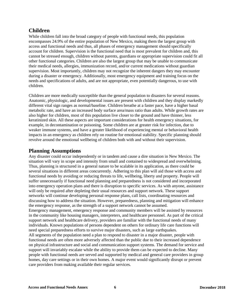## **Children**

While children fall into the broad category of people with functional needs, this population encompasses 24.9% of the entire population of New Mexico, making them the largest group with access and functional needs and thus, all phases of emergency management should specifically account for children. Supervision is the functional need that is most prevalent for children and, this cannot be stressed enough, children without parents, guardians or appropriate supervision could fit all other functional categories. Children are also the largest group that may be unable to communicate their medical needs, allergies, immunization record, and/or current medications without guardian supervision. Most importantly, children may not recognize the inherent dangers they may encounter during a disaster or emergency. Additionally, most emergency equipment and training focus on the needs and specifications of adults, and are not appropriate, even potentially dangerous, to use with children.

Children are more medically susceptible than the general population to disasters for several reasons. Anatomic, physiologic, and developmental issues are present with children and they display markedly different vital sign ranges as normal/baseline. Children breathe at a faster pace, have a higher basal metabolic rate, and have an increased body surface area/mass ratio than adults. While growth rates are also higher for children, most of this population live closer to the ground and have thinner, less keratinized skin. All these aspects are important considerations for health emergency situations, for example, in decontamination or poisoning. Some children are at greater risk for infection, due to weaker immune systems, and have a greater likelihood of experiencing mental or behavioral health impacts in an emergency as children rely on routine for emotional stability. Specific planning should revolve around the emotional wellbeing of children both with and without their supervision.

## **Planning Assumptions**

Any disaster could occur independently or in tandem and cause a dire situation in New Mexico. The situation will vary in scope and intensity from small and contained to widespread and overwhelming. Thus, planning is structured in a general nature to be scalable in its application, as there could be several situations in different areas concurrently. Adhering to this plan will aid those with access and functional needs by avoiding or reducing threats to life, wellbeing, liberty and property. People will suffer unnecessarily if functional need planning and preparedness is not considered and incorporated into emergency operation plans and there is disruption to specific services. As with anyone, assistance will only be required after depleting their usual resources and support network. These support networks will continue developing personal response plans, call lists, coordinating resources and discussing how to address the situation. However, preparedness, planning and mitigation will enhance the emergency response, as the strength of a support network cannot be assumed. Emergency management, emergency response and community members will be assisted by resources in the community like housing managers, interpreters, and healthcare personnel. As part of the critical support network and healthcare delivery, providers are familiar with the functional needs of many individuals. Known populations of persons dependent on others for ordinary life care functions will need special preparedness efforts to survive major disasters, such as large earthquakes. All segments of the population need a plan to respond to disaster in a major disaster, people with functional needs are often more adversely affected than the public due to their increased dependence on physical infrastructure and social and communication support systems. The demand for service and support will invariably escalate while the ability to provide them can be expected to decline. Many people with functional needs are served and supported by medical and general care providers in group homes, day care settings or in their own homes. A major event would significantly disrupt or prevent care providers from making available their regular services.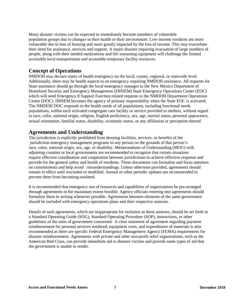Many disaster victims can be expected to immediately become members of vulnerable population groups due to changes in their health or their environment. Low-income residents are more vulnerable due to loss of housing and more greatly impacted by the loss of income. This may exacerbate their need for assistance, services and support. A major disaster requiring evacuation of large numbers of people, along with their needed medications and life‐sustaining equipment will challenge the limited accessible local transportation and accessible temporary facility resources.

## **Concept of Operations**

NMDOH may declare states of health emergency on the local, county, regional, or statewide level. Additionally, there may be health aspects to an emergency requiring NMDOH assistance. All requests for State assistance should go through the local emergency manager to the New Mexico Department of Homeland Security and Emergency Management (DHSEM) State Emergency Operations Center (EOC) which will send Emergency 8 Support Function related requests to the NMDOH Department Operations Center (DOC). DHSEM becomes the agency of primary responsibility when the State EOC is activated. The NMDOH DOC responds to the health needs of all populations, including functional needs populations, within each activated congregate care facility or service provided to shelters, without regard to race, color, national origin, religion, English proficiency, sex, age, marital status, personal appearance, sexual orientation, familial status, disability, economic status, or any affiliation or perception thereof.

## **Agreements and Understanding**

The jurisdiction is explicitly prohibited from denying facilities, services, or benefits of the jurisdiction emergency management programs to any person on the grounds of that person's race, color, national origin, sex, age, or disability. Memorandums of Understanding (MOU) with adjoining counties or local governments are recommended to recognize that certain situations require effective coordination and cooperation between jurisdictions to achieve effective response and provide for the general safety and health of residents. These documents can formalize and focus attention on commitments and help avoid misunderstandings. Unless otherwise provided, agreements should remain in effect until rescinded or modified. Annual or other periodic updates are recommended to prevent them from becoming outdated.

It is recommended that emergency use of resources and capabilities of organizations be pre-arranged through agreements to the maximum extent feasible. Agency officials entering into agreements should formalize them in writing whenever possible. Agreements between elements of the same government should be included with emergency operations plans and their respective annexes.

Details of such agreements, which are inappropriate for inclusion in these annexes, should be set forth in a Standard Operating Guide (SOG), Standard Operating Procedure (SOP), instructions, or other guidelines of the units of government concerned. A clear statement of agreement regarding payment reimbursement for personal services rendered, equipment costs, and expenditures of materials is also recommended as there are specific Federal Emergency Management Agency (FEMA) requirements for disaster reimbursement. Agreements with private and other non-profit relief organizations, such as the American Red Cross, can provide immediate aid to disaster victims and provide some types of aid that the government is unable to render.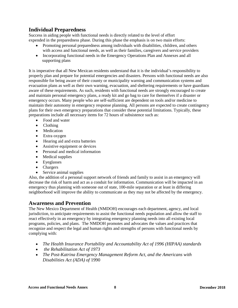# **Individual Preparedness**

Success in aiding people with functional needs is directly related to the level of effort expended in the preparedness phase. During this phase the emphasis is on two main efforts:

- Promoting personal preparedness among individuals with disabilities, children, and others with access and functional needs, as well as their families, caregivers and service providers
- Incorporating functional needs in the Emergency Operations Plan and Annexes and all supporting plans

It is imperative that all New Mexican residents understand that it is the individual's responsibility to properly plan and prepare for potential emergencies and disasters. Persons with functional needs are also responsible for being aware of their county or municipality warning and communication systems and evacuation plans as well as their own warning, evacuation, and sheltering requirements or have guardians aware of these requirements. As such, residents with functional needs are strongly encouraged to create and maintain personal emergency plans, a ready kit and go bag to care for themselves if a disaster or emergency occurs. Many people who are self-sufficient are dependent on tools and/or medicine to maintain their autonomy in emergency response planning. All persons are expected to create contingency plans for their own emergency preparations that consider these potential limitations. Typically, these preparations include all necessary items for 72 hours of subsistence such as:

- Food and water
- Clothing
- Medication
- Extra oxygen
- Hearing aid and extra batteries
- Assistive equipment or devices
- Personal and medical information
- Medical supplies
- Eyeglasses
- Chargers
- Service animal supplies

Also, the addition of a personal support network of friends and family to assist in an emergency will decrease the risk of harm and act as a conduit for information. Communication will be impacted in an emergency thus planning with someone out of state, 100-mile separation or at least in differing neighborhood will improve the ability to communicate as they may not be affected by the emergency.

## **Awareness and Prevention**

The New Mexico Department of Health (NMDOH) encourages each department, agency, and local jurisdiction, to anticipate requirements to assist the functional needs population and allow the staff to react effectively in an emergency by integrating emergency planning needs into all existing local programs, policies, and plans. The NMDOH promotes and advocates the values and practices that recognize and respect the legal and human rights and strengths of persons with functional needs by complying with:

- *The Health Insurance Portability and Accountability Act of 1996 (HIPAA) standards*
- *the Rehabilitation Act of 1973*
- *The Post-Katrina Emergency Management Reform Act, and the Americans with Disabilities Act (ADA) of* 1990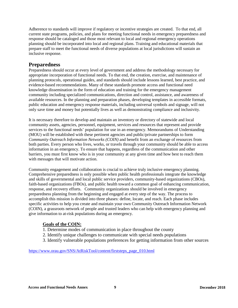Adherence to standards will improve if regulatory or incentive strategies are created. To that end, all current state programs, policies, and plans for meeting functional needs in emergency preparedness and response should be cataloged and those most relevant to local and regional emergency operations planning should be incorporated into local and regional plans. Training and educational materials that prepare staff to meet the functional needs of diverse populations at local jurisdictions will sustain an inclusive response.

## **Preparedness**

Preparedness should occur at every level of government and address the methodology necessary for appropriate incorporation of functional needs. To that end, the creation, exercise, and maintenance of planning protocols, operational guides, and standards should include lessons learned, best practice, and evidence-based recommendations. Many of these standards promote access and functional need knowledge dissemination in the form of education and training for the emergency management community including specialized communications, direction and control, assistance, and awareness of available resources. In the planning and preparation phases, developing templates in accessible formats, public education and emergency response materials, including universal symbols and signage, will not only save time and money but potentially lives as well as demonstrating compliance and inclusivity.

It is necessary therefore to develop and maintain an inventory or directory of statewide and local community assets, agencies, personnel, equipment, services and resources that represent and provide services to the functional needs' population for use in an emergency. Memorandums of Understanding (MOU) will be established with these pertinent agencies and public/private partnerships to form *Community Outreach Information Networks (COIN)* and benefit from an exchange of resources from both parties. Every person who lives, works, or travels through your community should be able to access information in an emergency. To ensure that happens, regardless of the communication and other barriers, you must first know who is in your community at any given time and how best to reach them with messages that will motivate action.

Community engagement and collaboration is crucial to achieve truly inclusive emergency planning. Comprehensive preparedness is only possible when public health professionals integrate the knowledge and skills of governmental and local public service providers, community-based organizations (CBOs), faith-based organizations (FBOs), and public health toward a common goal of enhancing communication, response, and recovery efforts. Community organizations should be involved in emergency preparedness planning from the beginning and engaged at every step of the way. The process to accomplish this mission is divided into three phases: define, locate, and reach. Each phase includes specific activities to help you create and maintain your own Community Outreach Information Network (COIN), a grassroots network of people and trusted leaders who can help with emergency planning and give information to at-risk populations during an emergency.

## **Goals of the COIN:**

- 1. Determine modes of communication in place throughout the county
- 2. Identify unique challenges to communicate with special needs populations
- 3. Identify vulnerable populations preferences for getting information from other sources

[https://www.orau.gov/SNS/AtRiskTool/content/firststeps\\_page\\_010.html](https://www.orau.gov/SNS/AtRiskTool/content/firststeps_page_010.html)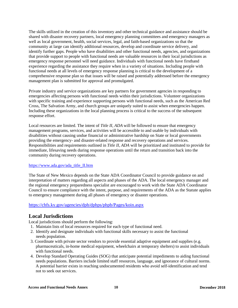The skills utilized in the creation of this inventory and other technical guidance and assistance should be shared with disaster recovery partners, local emergency planning committees and emergency managers as well as local government, health, social services, legal, and faith-based organizations so that the community at large can identify additional resources, develop and coordinate service delivery, and identify further gaps. People who have disabilities and other functional needs, agencies, and organizations that provide support to people with functional needs are valuable resources in their local jurisdictions as emergency response personnel will need guidance. Individuals with functional needs have firsthand experience regarding the assistance they require when in a variety of situations. Including people with functional needs at all levels of emergency response planning is critical to the development of a comprehensive response plan so that issues will be raised and potentially addressed before the emergency management plan is submitted for approval and promulgated.

Private industry and service organizations are key partners for government agencies in responding to emergencies affecting persons with functional needs within their jurisdictions. Volunteer organizations with specific training and experience supporting persons with functional needs, such as the American Red Cross, The Salvation Army, and church groups are uniquely suited to assist when emergencies happen. Including these organizations in the local planning process is critical to the success of the subsequent response effort.

Local resources are limited. The intent of *Title II, ADA* will be followed to ensure that emergency management programs, services, and activities will be accessible to and usable by individuals with disabilities without causing undue financial or administrative hardship on State or local governments providing the emergency- and disaster-related response and recovery operations and services. Responsibilities and requirements outlined in *Title II, ADA* will be prioritized and instituted to provide for immediate, lifesaving needs during response operations until the return and transition back into the community during recovery operations.

#### [https://www.ada.gov/ada\\_title\\_II.htm](https://www.ada.gov/ada_title_II.htm)

The State of New Mexico depends on the State ADA Coordinator Council to provide guidance on and interpretation of matters regarding all aspects and phases of the ADA. The local emergency manager and the regional emergency preparedness specialist are encouraged to work with the State ADA Coordinator Council to ensure compliance with the intent, purpose, and requirements of the ADA as the Statute applies to emergency management during all phases of emergency or disaster operations.

#### <https://chfs.ky.gov/agencies/dph/dphps/phpb/Pages/koin.aspx>

## **Local Jurisdictions**

Local jurisdictions should perform the following:

- 1. Maintain lists of local resources required for each type of functional need.
- 2. Identify and designate individuals with functional skills necessary to assist the functional needs population.
- 3. Coordinate with private sector vendors to provide essential adaptive equipment and supplies (e.g. pharmaceuticals, in-home medical equipment, wheelchairs at temporary shelters) to assist individuals with functional needs.
- 4. Develop Standard Operating Guides (SOG) that anticipate potential impediments to aiding functional needs populations. Barriers include limited staff resources, language, and ignorance of cultural norms. A potential barrier exists in reaching undocumented residents who avoid self-identification and tend not to seek out services.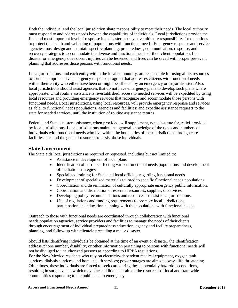Both the individual and the local jurisdiction share responsibility to meet their needs. The local authority must respond to and address needs beyond the capabilities of individuals. Local jurisdictions provide the first and most important level of response in a disaster as they have ultimate responsibility for operations to protect the health and wellbeing of populations with functional needs. Emergency response and service agencies must design and maintain specific planning, preparedness, communication, response, and recovery strategies to accommodate the diverse and functional needs of their client population. If a disaster or emergency does occur, injuries can be lessened, and lives can be saved with proper pre-event planning that addresses those persons with functional needs.

Local jurisdictions, and each entity within the local community, are responsible for using all its resources to form a comprehensive emergency response program that addresses citizens with functional needs within their entity who either have been or might be affected by an emergency or major disaster. Also, local jurisdictions should assist agencies that do not have emergency plans to develop such plans where appropriate. Until routine assistance is re-established, access to needed services will be expedited by using local resources and providing emergency services that recognize and accommodate those persons with functional needs. Local jurisdictions, using local resources, will provide emergency response and services as able, to functional needs populations, agencies and facilities; and expedite assistance requests to the state for needed services, until the institution of routine assistance returns.

Federal and State disaster assistance, when provided, will supplement, not substitute for, relief provided by local jurisdictions. Local jurisdictions maintain a general knowledge of the types and numbers of individuals with functional needs who live within the boundaries of their jurisdictions through care facilities, etc. and the general resources to assist those individuals.

### **State Government**

The State aids local jurisdictions as required or requested, including but not limited to:

- Assistance in development of local plans
- Identification of barriers affecting various functional needs populations and development of mediation strategies
- Specialized training for State and local officials regarding functional needs
- Development of specialized materials tailored to specific functional needs populations.
- Coordination and dissemination of culturally appropriate emergency public information.
- Coordination and distribution of essential resources, supplies, or services.
- Developing policy recommendations and resources to assist local jurisdictions.
- Use of regulations and funding requirements to promote local jurisdictions participation and education planning with the populations with functional needs.

Outreach to those with functional needs are coordinated through collaboration with functional needs population agencies, service providers and facilities to manage the needs of their clients through encouragement of individual preparedness education, agency and facility preparedness, planning, and follow-up with clientele preceding a major disaster.

Should listsidentifying individuals be obtained at the time of an event or disaster, the identification, address, phone number, disability, or other information pertaining to persons with functional needs will not be divulged to unauthorized persons as according to HIPPA regulations.

For the New Mexico residents who rely on electricity-dependent medical equipment, oxygen tank services, dialysis services, and home health services; power outages are almost always life-threatening. Oftentimes, these individuals are forced to seek care during these potentially hazardous conditions, resulting in surge events, which may place additional strain on the resources of local and state-wide communities responding to the public health emergency.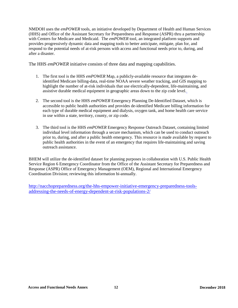NMDOH uses the *emPOWER* tools, an initiative developed by Department of Health and Human Services (HHS) and Office of the Assistant Secretary for Preparedness and Response (ASPR) thru a partnership with Centers for Medicare and Medicaid. The *emPOWER* tool, an integrated platform supports and provides progressively dynamic data and mapping tools to better anticipate, mitigate, plan for, and respond to the potential needs of at-risk persons with access and functional needs prior to, during, and after a disaster.

The HHS *emPOWER* initiative consists of three data and mapping capabilities.

- 1. The first tool is the HHS *emPOWER* Map, a publicly-available resource that integrates deidentified Medicare billing-data, real-time NOAA severe weather tracking, and GIS mapping to highlight the number of at-risk individuals that use electrically-dependent, life-maintaining, and assistive durable medical equipment in geographic areas down to the zip code level.
- 2. The second tool is the HHS *emPOWER* Emergency Planning De-Identified Dataset, which is accessible to public health authorities and provides de-identified Medicare billing information for each type of durable medical equipment and dialysis, oxygen tank, and home health care service in use within a state, territory, county, or zip code.
- 3. The third tool is the HHS *emPOWER* Emergency Response Outreach Dataset, containing limited individual level information through a secure mechanism, which can be used to conduct outreach prior to, during, and after a public health emergency. This resource is made available by request to public health authorities in the event of an emergency that requires life-maintaining and saving outreach assistance.

BHEM will utilize the de-identified dataset for planning purposes in collaboration with U.S. Public Health Service Region 6 Emergency Coordinator from the Office of the Assistant Secretary for Preparedness and Response (ASPR) Office of Emergency Management (OEM), Regional and International Emergency Coordination Division; reviewing this information bi-annually.

[http://nacchopreparedness.org/the-hhs-empower-initiative-emergency-preparedness-tools](http://nacchopreparedness.org/the-hhs-empower-initiative-emergency-preparedness-tools-addressing-the-needs-of-energy-dependent-at-risk-populations-2/)[addressing-the-needs-of-energy-dependent-at-risk-populations-2/](http://nacchopreparedness.org/the-hhs-empower-initiative-emergency-preparedness-tools-addressing-the-needs-of-energy-dependent-at-risk-populations-2/)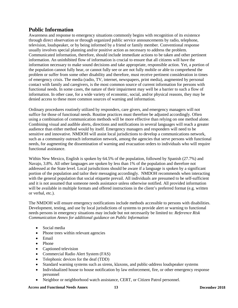# <span id="page-14-0"></span>**Public Information**

Awareness and response to emergency situations commonly begins with recognition of its existence through direct observation or through organized public service announcements by radio, telephone, television, loudspeaker, or by being informed by a friend or family member. Conventional response usually involves special planning and/or positive action as necessary to address the problem. Communicated information, therefore, should include immediate actions to be taken and other pertinent information. An uninhibited flow of information is crucial to ensure that all citizens will have the information necessary to make sound decisions and take appropriate, responsible action. Yet, a portion of the population cannot fully hear, or cannot fully see or are not fully mobile or able to comprehend the problem or suffer from some other disability and therefore, must receive pertinent consideration in times of emergency crisis. The media (radio, TV, internet, newspapers, print media), augmented by personal contact with family and caregivers, is the most common source of current information for persons with functional needs. In some cases, the nature of their impairment may well be a barrier to such a flow of information. In other case, for a wide variety of economic, social, and/or physical reasons, they may be denied access to these more common sources of warning and information.

Ordinary procedures routinely utilized by responders, care givers, and emergency managers will not suffice for those of functional needs. Routine practices must therefore be adjusted accordingly. Often using a combination of communication methods will be more effective than relying on one method alone. Combining visual and audible alerts, directions and notifications in several languages will reach a greater audience than either method would by itself. Emergency managers and responders will need to be sensitive and innovative. NMDOH will assist local jurisdictions to develop a communications network, such as a community outreach information network, among the agencies that serve persons with functional needs, for augmenting the dissemination of warning and evacuation orders to individuals who will require functional assistance.

Within New Mexico, English is spoken by 64.5% of the population, followed by Spanish (27.7%) and Navajo, 3.8%. All other languages are spoken by less than 1% of the population and therefore not addressed at the State level. Local jurisdictions should be aware if a language is spoken by a significant portion of the population and tailor their messaging accordingly. NMDOH recommends when interacting with the general population that social etiquette prevail. All individuals are presumed to be self-sufficient and it is not assumed that someone needs assistance unless otherwise notified. All provided information will be available in multiple formats and offered instructions in the client's preferred format (e.g. written or verbal, etc.).

The NMDOH will ensure emergency notifications include methods accessible to persons with disabilities. Development, testing, and use by local jurisdictions of systems to provide alert or warning to functional needs persons in emergency situations may include but not necessarily be limited to: *Reference Risk Communication Annex for additional guidance on Public Information*

- Social media
- Phone trees within relevant agencies
- Email
- Phone
- Captioned television
- Commercial Radio Alert System (FAS)
- Telephonic devices for the deaf (TDD)
- Standard warning systems such as sirens, klaxons, and public-address loudspeaker systems
- Individualized house to house notification by law enforcement, fire, or other emergency response personnel
- Neighbor or neighborhood watch assistance, CERT, or Citizen Patrol personnel.

**Access and Functional Needs Annex 13 December 2018**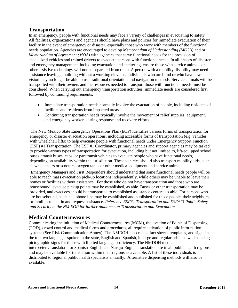# **Transportation**

In an emergency, people with functional needs may face a variety of challenges in evacuating to safety. All facilities, organizations and agencies should have plans and policies for immediate evacuation of their facility in the event of emergency or disaster, especially those who work with members of the functional needs population. Agencies are encouraged to develop *Memorandum of Understanding (MOUs)* and or *Memorandum of Agreement (MOA)* with agencies that serve functional needs for the provision of specialized vehicles and trained drivers to evacuate persons with functional needs. In all phases of disaster and emergency management, including evacuation and sheltering, ensure those with service animals or other assistive technology will not be separated from them. A person with a mobility disability may need assistance leaving a building without a working elevator. Individuals who are blind or who have low vision may no longer be able to use traditional orientation and navigation methods. Service animals will be transported with their owners and the resources needed to transport those with functional needs must be considered. When carrying out emergency transportation activities, immediate needs are considered first, followed by continuing requirements.

- Immediate transportation needs normally involve the evacuation of people, including residents of facilities and residents from impacted areas.
- Continuing transportation needs typically involve the movement of relief supplies, equipment, and emergency workers during response and recovery efforts.

The New Mexico State Emergency Operations Plan (EOP) identifies various forms of transportation for emergency or disaster evacuation operations, including accessible forms of transportation (e.g. vehicles with wheelchair lifts) to help evacuate people with functional needs under Emergency Support Function (ESF) #1 Transportation. The ESF #1 Coordinator, primary agencies and support agencies may be tasked to provide various types of transportation for evacuation, including but not limited to, lift-equipped school buses, transit buses, cabs, or paratransit vehicles to evacuate people who have functional needs, depending on availability within the jurisdiction. These vehicles should also transport mobility aids, such as wheelchairs or scooters, oxygen tanks or other medical equipment and service animals.

Emergency Managers and First Responders should understand that some functional needs people will be able to reach mass evacuation pick-up locations independently, while others may be unable to leave their homes or facilities without assistance. For those who do not have transportation and those who are housebound, evacuee pickup points may be established, as able. Buses or other transportation may be provided, and evacuees should be transported to established assistance centers, as able. For persons who are housebound, as able, a phone line may be established and published for those people, their neighbors, or families to call in and request assistance. *Reference ESF#1 Transportation and ESF#13 Public Safety and Security in the NM EOP for further guidance on Transportation and Evacuation.*

## **Medical Countermeasures**

Communicating the initiation of Medical Countermeasures (MCM), the location of Points of Dispensing (POD), crowd control and medical forms and procedures, all require activation of public information systems (See Risk Communication Annex). The NMDOH has created fact sheets, templates, and signs in the top two languages spoken in the state, English and Spanish, in large and regular print, as well as using pictographic signs for those with limited language proficiency. The NMDOH medical interpreters/translators for Spanish-English and Navajo-English translation are in all public health regions and may be available for translation within their regions as available. A list of these individuals is distributed to regional public health specialists annually. Alternative dispensing methods will also be available.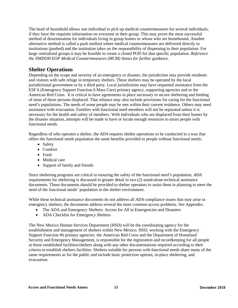The head of household allows one individual to pick up medical countermeasures for several individuals, if they have the requisite information on everyone in their group. This may prove the most successful method of dissemination for individuals living in group homes or whose who are homebound. Another alternative method is called a push method where medical countermeasures are delivered directly to institutions (pushed) and the institution takes on the responsibility of dispensing to their population. For large centralized groups it may be feasible to create a closed POD for that specific population. *Reference the NMDOH EOP Medical Countermeasures (MCM) Annex for further guidance.*

## **Shelter Operations**

Depending on the scope and severity of an emergency or disaster, the jurisdiction may provide residents and visitors with safe refuge in temporary shelters. These shelters may be operated by the local jurisdictional government or by a third party. Local jurisdictions may have requested assistance from the ESF 6 (Emergency Support Function 6 Mass Care) primary agency, supporting agencies and or the American Red Cross. It is critical to have agreements in place necessary to secure sheltering and feeding of most of those persons displaced. That reliance may also include provisions for caring for the functional need's populations. The needs of some people may be met within their current residence. Others may need assistance with evacuation. Families with functional need members will not be separated unless it is necessary for the health and safety of members. With individuals who are displaced from their homes by the disaster situation, attempts will be made to have or locate enough resources to assist people with functional needs.

Regardless of who operates a shelter, the *ADA* requires shelter operations to be conducted in a way that offers the functional needs population the same benefits provided to people without functional needs:

- Safety
- Comfort
- Food
- Medical care
- Support of family and friends

Since sheltering programs are critical to ensuring the safety of the functional need's population, *ADA* requirements for sheltering is discussed in greater detail in two (2) stand-alone technical assistance documents. These documents should be provided to shelter operators to assist them in planning to meet the need of the functional needs' population in the shelter environment.

While these technical assistance documents do not address all *ADA* compliance issues that may arise in emergency shelters, the documents address several the most common access problems. See Appendix:

- The ADA and Emergency Shelters: Access for All in Emergencies and Disasters
- ADA Checklist for Emergency Shelters

The New Mexico Human Services Department (HSD) will be the coordinating agency for the establishment and management of shelters within New Mexico. HSD, working with the Emergency Support Function #6 primary agencies: the American Red Cross and the Department of Homeland Security and Emergency Management, is responsible for the registration and recordkeeping for all people at those established facilities/shelters along with any other documentations required according to their criteria to establish shelters facilities. Shelters suitable for persons with functional needs share many of the same requirements as for the public and include basic protection options, in-place sheltering, and evacuation.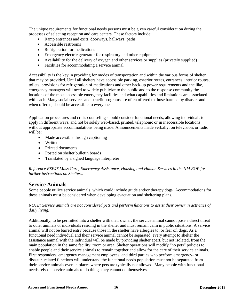The unique requirements for functional needs persons must be given careful consideration during the processes of selecting reception and care centers. These factors include:

- Ramp entrances and exits, doorways, hallways, paths
- Accessible restrooms
- Refrigeration for medications
- Emergency electric generator for respiratory and other equipment
- Availability for the delivery of oxygen and other services or supplies (privately supplied)
- Facilities for accommodating a service animal

Accessibility is the key in providing for modes of transportation and within the various forms of shelter that may be provided. Until all shelters have accessible parking, exterior routes, entrances, interior routes, toilets, provisions for refrigeration of medications and other back-up power requirements and the like, emergency managers will need to widely publicize to the public and to the response community the locations of the most accessible emergency facilities and what capabilities and limitations are associated with each. Many social services and benefit programs are often offered to those harmed by disaster and when offered, should be accessible to everyone.

Application procedures and crisis counseling should consider functional needs, allowing individuals to apply in different ways, and not be solely web-based, printed, telephonic or in inaccessible locations without appropriate accommodations being made. Announcements made verbally, on television, or radio will be:

- Made accessible through captioning
- Written
- Printed documents
- Posted on shelter bulletin boards
- Translated by a signed language interpreter

*Reference ESF#6 Mass Care, Emergency Assistance, Housing and Human Services in the NM EOP for further instructions on Shelters.*

## **Service Animals**

Some people utilize service animals, which could include guide and/or therapy dogs. Accommodations for these animals must be considered when developing evacuation and sheltering plans.

#### *NOTE: Service animals are not considered pets and perform functions to assist their owner in activities of daily living.*

Additionally, to be permitted into a shelter with their owner, the service animal cannot pose a direct threat to other animals or individuals residing in the shelter and must remain calm in public situations. A service animal will not be barred entry because those in the shelter have allergies to, or fear of, dogs. As a functional need individual and their service animal cannot be separated, every attempt to shelter the assistance animal with the individual will be made by providing shelter apart, but not isolated, from the main population in the same facility, room or area. Shelter operations will modify "no pets" policies to enable people and their service animals to remain together and allow for the care of their service animals. First responders, emergency management employees, and third parties who perform emergency- or disaster- related functions will understand the functional needs population must not be separated from their service animals even in places where pets are typically not allowed. Many people with functional needs rely on service animals to do things they cannot do themselves.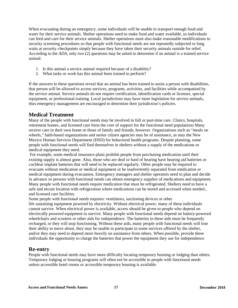When evacuating during an emergency, some individuals will be unable to transport enough food and water for their service animals. Shelter operations need to make food and water available, so individuals can feed and care for their service animals. Shelter operations must also make reasonable modifications to security screening procedures so that people with functional needs are not repeatedly subjected to long waits at security checkpoints simply because they have taken their security animals outside for relief. According to the *ADA*, only two (2) questions may be asked to determine if an animal is a trained service animal:

- 1. Is this animal a service animal required because of a disability?
- 2. What tasks or work has this animal been trained to perform?

If the answers to these questions reveal that an animal has been trained to assist a person with disabilities, that person will be allowed to access services, programs, activities, and facilities while accompanied by the service animal. Service animals do not require certification, identification cards or licenses, special equipment, or professional training. Local jurisdictions may have more legislation for service animals, thus emergency management are encouraged to determine their jurisdiction's policies.

## **Medical Treatment**

Many of the people with functional needs may be involved in full or part-time care. Clinics, hospitals, retirement homes, and licensed care form the core of support for the functional need populations Many receive care in their own home or those of family and friends, however. Organizations such as "meals on wheels," faith-based organizations and senior citizen agencies may be of assistance, as may the New Mexico Human Services Department (HSD) for behavioral health programs. Despite planning, some people with functional needs will find themselves in shelters without a supply of the medications or medical equipment they need.

For example, some medical insurance plans prohibit people from purchasing medication until their existing supply is almost gone. Also, those who are deaf or hard of hearing have hearing aid batteries or cochlear implant batteries that will need to be replaced regularly. Other people may be required to evacuate without medication or medical equipment or be inadvertently separated from medication or medical equipment during evacuation. Emergency managers and shelter operators need to plan and decide in advance so persons with functional needs can obtain emergency supplies of medications and equipment. Many people with functional needs require medication that must be refrigerated. Shelters need to have a safe and secure location with refrigeration where medications can be stored and accessed when needed., and licensed care facilities.

Some people with functional needs requires: ventilators, suctioning devices or other life sustaining equipment powered by electricity. Without electrical power, many of these individuals cannot survive. When electrical power is available, access should be given to people who depend on electrically powered equipment to survive. Many people with functional needs depend on battery-powered wheelchairs and scooters or other aids for independence. The batteries in these aids must be frequently recharged, or they will stop functioning. Without these aids, many people with functional needs will lose their ability to move about, they may be unable to participate in some services offered by the shelter, and/or they may need to depend more heavily on assistance from others. When possible, provide these individuals the opportunity to charge the batteries that power the equipment they use for independence

## **Re-entry**

People with functional needs may have more difficulty locating temporary housing or lodging than others. Temporary lodging or housing programs will often not be accessible to people with functional needs unless accessible hotel rooms or accessible temporary housing is available.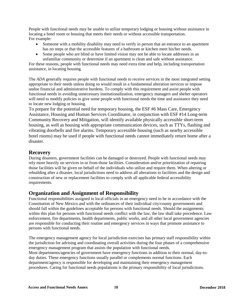People with functional needs may be unable to utilize temporary lodging or housing without assistance in locating a hotel room or housing that meets their needs or without accessible transportation. For example:

- Someone with a mobility disability may need to verify in person that an entrance to an apartment has no steps or that the accessible features of a bathroom or kitchen meet his/her needs.
- Some people who are blind or have limited vision may not be able to locate addresses in an unfamiliar community or determine if an apartment is clean and safe without assistance.

For these reasons, people with functional needs may need extra time and help, including transportation assistance, in locating housing.

The *ADA* generally requires people with functional needs to receive services in the most integrated setting appropriate to their needs unless doing so would result in a fundamental alteration services or impose undue financial and administrative burdens. To comply with this requirement and assist people with functional needs in avoiding unnecessary institutionalization, emergency managers and shelter operators will need to modify policies to give some people with functional needs the time and assistance they need to locate new lodging or housing.

To prepare for the potential need for temporary housing, the ESF #6 Mass Care, Emergency Assistance, Housing and Human Services Coordinator, in conjunction with ESF #14 Long-term Community Recovery and Mitigation, will identify available physically accessible short-term housing, as well as housing with appropriate communication devices, such as TTYs, flashing and vibrating doorbells and fire alarms. Temporary accessible housing (such as nearby accessible hotel rooms) may be used if people with functional needs cannot immediately return home after a disaster.

## **Recovery**

During disasters, government facilities can be damaged or destroyed. People with functional needs may rely more heavily on services in or from those facilities. Consideration and/or prioritization of repairing those facilities will be given on behalf of the individuals who utilize and require them. When altering or rebuilding after a disaster, local jurisdictions need to address all alterations to facilities and the design and construction of new or replacement facilities to comply with all applicable federal accessibility requirements.

## **Organization and Assignment of Responsibility**

Functional responsibilities assigned to local officials in an emergency need to be in accordance with the Constitution of New Mexico and with the ordinances of their individual city/county governments and should fall within the guidelines acceptable for persons with functional needs. Should the assignments within this plan for persons with functional needs conflict with the law, the law shall take precedence. Law enforcement, fire departments, health departments, public works, and all other local government agencies are responsible for conducting their routine and emergency services in ways that promote assistance to persons with functional needs.

The emergency management agency for local jurisdiction exercises has primary staff responsibility within the jurisdiction for advising and coordinating overall activities during the four phases of a comprehensive emergency management program that assists the population with functional needs. Most departments/agencies of government have emergency functions in addition to their normal, day-today duties. These emergency functions usually parallel or complements normal functions. Each department/agency is responsible for developing and maintaining their emergency management procedures. Caring for functional needs populations is the primary responsibility of local jurisdictions.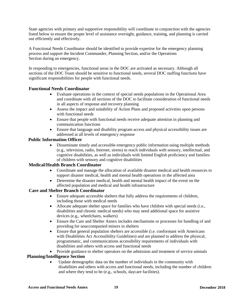State agencies with primary and supportive responsibility will coordinate in conjunction with the agencies listed below to ensure the proper level of assistance oversight, guidance, training, and planning is carried out efficiently and effectively.

A Functional Needs Coordinator should be identified to provide expertise for the emergency planning process and support the Incident Commander, Planning Section, and/or the Operations Section during an emergency.

In responding to emergencies, functional areas in the DOC are activated as necessary. Although all sections of the DOC Team should be sensitive to functional needs, several DOC staffing functions have significant responsibilities for people with functional needs.

#### **Functional Needs Coordinator**

- Evaluate operations in the context of special needs populations in the Operational Area and coordinate with all sections of the DOC to facilitate consideration of functional needs in all aspects of response and recovery planning
- Assess the impact and suitability of Action Plans and proposed activities upon persons with functional needs
- Ensure that people with functional needs receive adequate attention in planning and communication functions
- Ensure that language and disability program access and physical accessibility issues are addressed at all levels of emergency response

#### **Public Information Officer**

• Disseminate timely and accessible emergency public information using multiple methods (e.g., television, radio, Internet, sirens) to reach individuals with sensory, intellectual, and cognitive disabilities, as well as individuals with limited English proficiency and families of children with sensory and cognitive disabilities

#### **Medical/Health Branch Coordinator**

- Coordinate and manage the allocation of available disaster medical and health resources to support disaster medical, health and mental health operations in the affected area
- Determine the disaster medical, health and mental health impact of the event on the affected population and medical and health infrastructure

#### **Care and Shelter Branch Coordinator**

- Ensure adequate accessible shelters that fully address the requirements of children, including those with medical needs
- Allocate adequate shelter space for families who have children with special needs (i.e., disabilities and chronic medical needs) who may need additional space for assistive devices (e.g., wheelchairs, walkers)
- Ensure the Care and Shelter Annex includes mechanisms or processes for handling of and providing for unaccompanied minors in shelters
- Ensure that general population shelters are accessible (i.e. conformant with Americans with Disabilities Act Accessibility Guidelines) and are planned to address the physical, programmatic, and communications accessibility requirements of individuals with disabilities and others with access and functional needs
- Provide guidance to shelter operators on the admission and treatment of service animals

#### **Planning/Intelligence Section**

• Update demographic data on the number of individuals in the community with disabilities and others with access and functional needs, including the number of children and where they tend to be (e.g., schools, daycare facilities).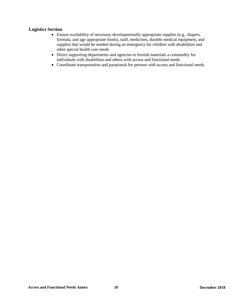### **Logistics Section**

- Ensure availability of necessary developmentally appropriate supplies (e.g., diapers, formula, and age appropriate foods), staff, medicines, durable medical equipment, and supplies that would be needed during an emergency for children with disabilities and other special health care needs
- Direct supporting departments and agencies to furnish materials a commodity for individuals with disabilities and others with access and functional needs
- Coordinate transportation and paratransit for persons with access and functional needs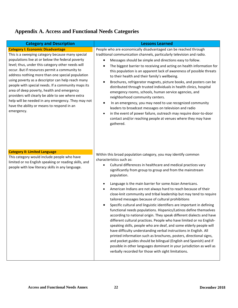# **Appendix A. Access and Functional Needs Categories**

| <b>Category and Description</b>                                                                                                                                                                                                                                                                                                                                                                                                                                                                                                                                                                                                            | <b>Lessons Learned</b>                                                                                                                                                                                                                                                                                                                                                                                                                                                                                                                                                                                                                                                                                                                                                                                                                                                                                                                                                                                                                                                                                                                                                                                               |
|--------------------------------------------------------------------------------------------------------------------------------------------------------------------------------------------------------------------------------------------------------------------------------------------------------------------------------------------------------------------------------------------------------------------------------------------------------------------------------------------------------------------------------------------------------------------------------------------------------------------------------------------|----------------------------------------------------------------------------------------------------------------------------------------------------------------------------------------------------------------------------------------------------------------------------------------------------------------------------------------------------------------------------------------------------------------------------------------------------------------------------------------------------------------------------------------------------------------------------------------------------------------------------------------------------------------------------------------------------------------------------------------------------------------------------------------------------------------------------------------------------------------------------------------------------------------------------------------------------------------------------------------------------------------------------------------------------------------------------------------------------------------------------------------------------------------------------------------------------------------------|
| <b>Category I: Economic Disadvantage</b><br>This is a sweeping category because many special<br>populations live at or below the federal poverty<br>level; thus, under this category other needs will<br>occur. But if resources permit a community to<br>address nothing more than one special population<br>using poverty as a descriptor can help reach many<br>people with special needs. If a community maps its<br>area of deep poverty, health and emergency<br>providers will clearly be able to see where extra<br>help will be needed in any emergency. They may not<br>have the ability or means to respond in an<br>emergency. | People who are economically disadvantaged can be reached through<br>traditional communication channels, particularly television and radio.<br>Messages should be simple and directions easy to follow.<br>The biggest barrier to receiving and acting on health information for<br>this population is an apparent lack of awareness of possible threats<br>to their health and their family's wellbeing.<br>Brochures, refrigerator magnets, picture books, and posters can be<br>distributed through trusted individuals in health clinics, hospital<br>emergency rooms, schools, human service agencies, and<br>neighborhood community centers.<br>In an emergency, you may need to use recognized community<br>leaders to broadcast messages on television and radio<br>in the event of power failure, outreach may require door-to-door<br>contact and/or reaching people at venues where they may have<br>gathered.                                                                                                                                                                                                                                                                                             |
| <b>Category II: Limited Language</b><br>This category would include people who have<br>limited or no English speaking or reading skills, and<br>people with low literacy skills in any language.                                                                                                                                                                                                                                                                                                                                                                                                                                           | Within this broad population category, you may identify common<br>characteristics such as:<br>Cultural differences in healthcare and medical practices vary<br>significantly from group to group and from the mainstream<br>population.<br>Language is the main barrier for some Asian Americans.<br>American Indians are not always hard to reach because of their<br>close-knit community and tribal leadership but may tend to require<br>tailored messages because of cultural prohibitions<br>Specific cultural and linguistic identifiers are important in defining<br>functional needs populations. Hispanics/Latinos define themselves<br>according to national origin. They speak different dialects and have<br>different cultural practices. People who have limited or no English-<br>speaking skills, people who are deaf, and some elderly people will<br>have difficulty understanding verbal instructions in English. All<br>printed information such as brochures, posters, directional signs,<br>and pocket guides should be bilingual (English and Spanish) and if<br>possible in other languages dominant in your jurisdiction as well as<br>verbally recorded for those with sight limitations. |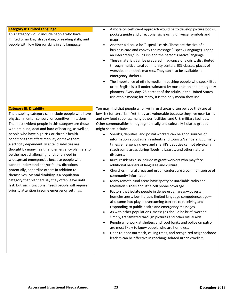| <b>Category II: Limited Language</b><br>This category would include people who have<br>limited or no English speaking or reading skills, and<br>people with low literacy skills in any language.                                                                                                                                                                                                                                                                                                                                                                                                                                                                                                                                                                                                                                                                         | A more cost-efficient approach would be to develop picture books,<br>pockets guide and directional signs using universal symbols and<br>maps.<br>Another aid could be "I speak" cards. These are the size of a<br>$\bullet$<br>business card and convey the message "I speak (language). I need<br>an interpreter," in English and the person's native language.<br>These materials can be prepared in advance of a crisis, distributed<br>$\bullet$<br>through multicultural community centers, ESL classes, places of<br>worship, and ethnic markets. They can also be available at<br>emergency shelters.<br>The importance of ethnic media in reaching people who speak little,<br>or no English is still underestimated by most health and emergency<br>planners. Every day, 25 percent of the adults in the United States<br>use ethnic media; for many, it is the only media they use.                                                                                                                                                                                                                                                                                                                                                                                                                                                                                                                                                                                                                                                                                                                                                |
|--------------------------------------------------------------------------------------------------------------------------------------------------------------------------------------------------------------------------------------------------------------------------------------------------------------------------------------------------------------------------------------------------------------------------------------------------------------------------------------------------------------------------------------------------------------------------------------------------------------------------------------------------------------------------------------------------------------------------------------------------------------------------------------------------------------------------------------------------------------------------|----------------------------------------------------------------------------------------------------------------------------------------------------------------------------------------------------------------------------------------------------------------------------------------------------------------------------------------------------------------------------------------------------------------------------------------------------------------------------------------------------------------------------------------------------------------------------------------------------------------------------------------------------------------------------------------------------------------------------------------------------------------------------------------------------------------------------------------------------------------------------------------------------------------------------------------------------------------------------------------------------------------------------------------------------------------------------------------------------------------------------------------------------------------------------------------------------------------------------------------------------------------------------------------------------------------------------------------------------------------------------------------------------------------------------------------------------------------------------------------------------------------------------------------------------------------------------------------------------------------------------------------------|
| <b>Category III: Disability</b><br>The disability category can include people who have<br>physical, mental, sensory, or cognitive limitations.<br>The most evident people in this category are those<br>who are blind, deaf and hard of hearing, as well as<br>people who have high-risk or chronic health<br>conditions that affect mobility or make them<br>electricity dependent. Mental disabilities are<br>thought by many health and emergency planners to<br>be the most challenging functional need in<br>widespread emergencies because people who<br>cannot understand and/or follow directions<br>potentially jeopardize others in addition to<br>themselves. Mental disability is a population<br>category that planners say they often leave until<br>last, but such functional needs people will require<br>priority attention in some emergency settings. | You may find that people who live in rural areas often believe they are at<br>low risk for terrorism. Yet, they are vulnerable because they live near farms<br>and raw food supplies, many power facilities, and U.S. military facilities.<br>Other commonalities that geographically and culturally isolated groups<br>might share include:<br>Sheriffs, deputies, and postal workers can be good sources of<br>information about rural residents and tourists/campers. But, many<br>times, emergency crews and sheriff's deputies cannot physically<br>reach some areas during floods, blizzards, and other natural<br>disasters.<br>Rural residents also include migrant workers who may face<br>additional barriers of language and culture.<br>Churches in rural areas and urban centers are a common source of<br>$\bullet$<br>community information.<br>Many remote rural areas have spotty or unreliable radio and<br>television signals and little cell phone coverage.<br>Factors that isolate people in dense urban areas-poverty,<br>$\bullet$<br>homelessness, low literacy, limited language competence, age-<br>also come into play in overcoming barriers to receiving and<br>responding to public health and emergency messages.<br>As with other populations, messages should be brief, worded<br>simply, transmitted through pictures and other visual aids.<br>People who work at shelters and food banks and police on patrol<br>are most likely to know people who are homeless.<br>Door-to-door outreach, calling trees, and recognized neighborhood<br>leaders can be effective in reaching isolated urban dwellers. |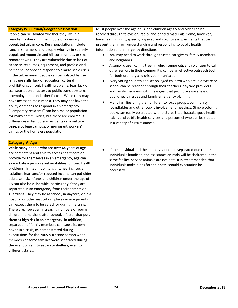#### **Category IV: Cultural/Geographic Isolation**

People can be isolated whether they live in a remote frontier or in the middle of a densely populated urban core. Rural populations include ranchers, farmers, and people who live in sparsely populated mountain and hill communities or small remote towns. They are vulnerable due to lack of capacity, resources, equipment, and professional personnel needed to respond to a large-scale crisis. In the urban areas, people can be isolated by their language skills, lack of education, cultural prohibitions, chronic health problems, fear, lack of transportation or access to public transit systems, unemployment, and other factors. While they may have access to mass media, they may not have the ability or means to respond in an emergency. "Temporary residents" can be a major population for many communities, but there are enormous differences in temporary residents on a military base, a college campus, or in-migrant workers' camps or the homeless population.

#### **Category V: Age**

While many people who are over 64 years of age are competent and able to access healthcare or provide for themselves in an emergency, age can exacerbate a person's vulnerabilities. Chronic health problems, limited mobility, sight, hearing, social isolation, fear, and/or reduced income can put older adults at risk. Infants and children under the age of 18 can also be vulnerable, particularly if they are separated in an emergency from their parents or guardians. They may be at school, in daycare, or in a hospital or other institution, places where parents can expect them to be cared for during the crisis. There are, however, increasing numbers of young children home alone after school, a factor that puts them at high risk in an emergency. In addition, separation of family members can cause its own havoc in a crisis, as demonstrated during evacuations for the 2005 hurricane season when members of some families were separated during the event or sent to separate shelters, even to different states.

Must people over the age of 64 and children ages 5 and older can be reached through television, radio, and printed materials. Some, however, have hearing, sight, speech, physical, and cognitive impairments that can prevent them from understanding and responding to public health information and emergency directions.

- You may need to work through trusted caregivers, family members, and neighbors.
- A senior citizen calling tree, in which senior citizens volunteer to call other seniors in their community, can be an effective outreach tool for both ordinary and crisis communication.
- Very young children and school aged children who are in daycare or school can be reached through their teachers, daycare providers and family members with messages that promote awareness of public health issues and family emergency planning.
- Many families bring their children to focus groups, community roundtables and other public involvement meetings. Simple coloring books can easily be created with pictures that illustrate good health habits and public health services and personnel who can be trusted in a variety of circumstances.
- If the individual and the animals cannot be separated due to the individual's handicap, the assistance animals will be sheltered in the same facility. Service animals are not pets. It is recommended that individuals make plans for their pets, should evacuation be necessary.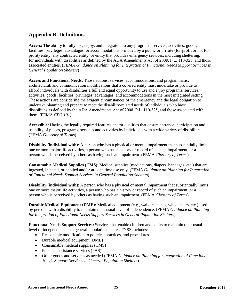## **Appendix B. Definitions**

**Access:** The ability to fully use, enjoy, and integrate into any programs, services, activities, goods, facilities, privileges, advantages, or accommodations provided by a public or private (for-profit or not forprofit) entity, any contracted entity, or entity that provides emergency services, including sheltering, for individuals with disabilities as defined by the ADA Amendments Act of 2008, P.L. 110‐325, and those associated entities. (FEMA *Guidance on Planning for Integration of Functional Needs Support Services in General Population Shelters*)

**Access and Functional Needs:** Those actions, services, accommodations, and programmatic, architectural, and communication modifications that a covered entity must undertake or provide to afford individuals with disabilities a full and equal opportunity to use and enjoy programs, services, activities, goods, facilities, privileges, advantages, and accommodations in the most integrated setting. These actions are considering the exigent circumstances of the emergency and the legal obligation to undertake planning and prepare to meet the disability-related needs of individuals who have disabilities as defined by the ADA Amendments Act of 2008, P.L. 110‐325, and those associated with them. (FEMA *CPG 101*)

**Accessible:** Having the legally required features and/or qualities that ensure entrance, participation and usability of places, programs, services and activities by individuals with a wide variety of disabilities. (FEMA *Glossary of Terms*)

**Disability (individual with)**: A person who has a physical or mental impairment that substantially limits one or more major life activities, a person who has a history or record of such an impairment, or a person who is perceived by others as having such an impairment. (FEMA *Glossary of Terms*)

**Consumable Medical Supplies (CMS)**: Medical supplies (medications, diapers, bandages, etc.) that are ingested, injected, or applied and/or are one time use only. (FEMA *Guidance on Planning for Integration of Functional Needs Support Services in General Population Shelters*)

**Disability (individual with)**: A person who has a physical or mental impairment that substantially limits one or more major life activities, a person who has a history or record of such an impairment, or a person who is perceived by others as having such an impairment. (FEMA *Glossary of Terms*)

**Durable Medical Equipment (DME):** Medical equipment (e.g., walkers, canes, wheelchairs, etc.) used by persons with a disability to maintain their usual level of independence. (FEMA *Guidance on Planning for Integration of Functional Needs Support Services in General Population Shelters*)

**Functional Needs Support Services:** Services that enable children and adults to maintain their usual level of independence in a general population shelter. FNSS includes:

- Reasonable modification to policies, practices, and procedures
- Durable medical equipment (DME)
- Consumable medical supplies (CMS)
- Personal assistance services (PAS)
- Other goods and services as needed (FEMA *Guidance on Planning for Integration of Functional Needs Support Services in General Population Shelters*)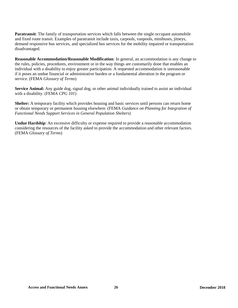**Paratransit:** The family of transportation services which falls between the single occupant automobile and fixed route transit. Examples of paratransit include taxis, carpools, vanpools, minibuses, jitneys, demand responsive bus services, and specialized bus services for the mobility impaired or transportation disadvantaged.

**Reasonable Accommodation/Reasonable Modification**: In general, an accommodation is any change to the rules, policies, procedures, environment or in the way things are customarily done that enables an individual with a disability to enjoy greater participation. A requested accommodation is unreasonable if it poses an undue financial or administrative burden or a fundamental alteration in the program or service. (FEMA *Glossary of Terms*)

**Service Animal:** Any guide dog, signal dog, or other animal individually trained to assist an individual with a disability. (FEMA *CPG 101*)

**Shelter:** A temporary facility which provides housing and basic services until persons can return home or obtain temporary or permanent housing elsewhere. (FEMA *Guidance on Planning for Integration of Functional Needs Support Services in General Population Shelters*)

**Undue Hardship:** An excessive difficulty or expense required to provide a reasonable accommodation considering the resources of the facility asked to provide the accommodation and other relevant factors. (FEMA *Glossary of Terms*)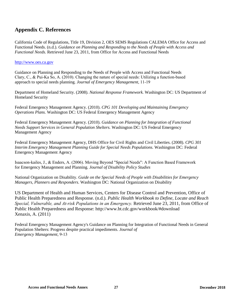## **Appendix C. References**

California Code of Regulations, Title 19, Division 2, OES SEMS Regulations CALEMA Office for Access and Functional Needs. (n.d.). *Guidance on Planning and Responding to the Needs of People with Access and Functional Needs.* Retrieved June 23, 2011, from Office for Access and Functional Needs

#### [http://www.oes.ca.gov](http://www.oes.ca.gov/)

Guidance on Planning and Responding to the Needs of People with Access and Functional Needs Clary, C., & Pui‐Ka So, A. (2010). Changing the nature of special needs: Utilizing a function‐based approach to special needs planning. *Journal of Emergency Management,* 11‐19

Department of Homeland Security. (2008). *National Response Framework.* Washington DC: US Department of Homeland Security

Federal Emergency Management Agency. (2010). *CPG 101 Developing and Maintaining Emergency Operations Plans.* Washington DC: US Federal Emergency Management Agency

Federal Emergency Management Agency. (2010). *Guidance on Planning for Integration of Functional Needs Support Services in General Population Shelters.* Washington DC: US Federal Emergency Management Agency

Federal Emergency Management Agency, DHS Office for Civil Rights and Civil Liberties. (2008). *CPG 301 Interim Emergency Management Planning Guide for Special Needs Populations.* Washington DC: Federal Emergency Management Agency

Isaacson‐kailes, J., & Enders, A. (2006). Moving Beyond "Special Needs": A Function Based Framework for Emergency Management and Planning. *Journal of Disability Policy Studies*

National Organization on Disability. *Guide on the Special Needs of People with Disabilities for Emergency Managers, Planners and Responders.* Washington DC: National Organization on Disability

US Department of Health and Human Services, Centers for Disease Control and Prevention, Office of Public Health Preparedness and Response. (n.d.). *Public Health Workbook to Define, Locate and Reach Special, Vulnerable, and At‐risk Populations in an Emergency.* Retrieved June 23, 2011, from Office of Public Health Preparedness and Response: http://www.bt.cdc.gov/workbook/#download Xenaxis, A. (2011)

Federal Emergency Management Agency's Guidance on Planning for Integration of Functional Needs in General Population Shelters: Progress despite practical impediments. *Journal of Emergency Management,* 9‐13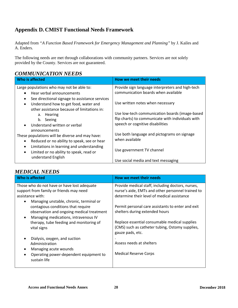# **Appendix D. CMIST Functional Needs Framework**

Adapted from *"A Function Based Framework for Emergency Management and Planning"* by J. Kailes and A. Enders*.*

The following needs are met through collaborations with community partners. Services are not solely provided by the County. Services are not guaranteed.

## *COMMUNICATION NEEDS*

| Who is affected                                          | How we meet their needs                           |
|----------------------------------------------------------|---------------------------------------------------|
| Large populations who may not be able to:                | Provide sign language interpreters and high-tech  |
| Hear verbal announcements<br>$\bullet$                   | communication boards when available               |
| See directional signage to assistance services<br>٠      |                                                   |
| Understand how to get food, water and<br>$\bullet$       | Use written notes when necessary                  |
| other assistance because of limitations in:              | Use low-tech communication boards (image-based    |
| a. Hearing<br>b. Seeing                                  | flip charts) to communicate with individuals with |
| Understand written or verbal<br>$\bullet$                | speech or cognitive disabilities                  |
| announcements                                            |                                                   |
| These populations will be diverse and may have:          | Use both language and pictograms on signage       |
| Reduced or no ability to speak, see or hear<br>$\bullet$ | when available                                    |
| Limitations in learning and understanding<br>٠           |                                                   |
| Limited or no ability to speak, read or<br>$\bullet$     | Use government TV channel                         |
| understand English                                       | Use social media and text messaging               |

# *MEDICAL NEEDS*

| Who is affected                                      | How we meet their needs                           |
|------------------------------------------------------|---------------------------------------------------|
| Those who do not have or have lost adequate          | Provide medical staff, including doctors, nurses, |
| support from family or friends may need              | nurse's aide, EMTs and other personnel trained to |
| assistance with:                                     | determine their level of medical assistance       |
| Managing unstable, chronic, terminal or<br>$\bullet$ |                                                   |
| contagious conditions that require                   | Permit personal care assistants to enter and exit |
| observation and ongoing medical treatment            | shelters during extended hours                    |
| Managing medications, intravenous IV<br>$\bullet$    |                                                   |
| therapy, tube feeding and monitoring of              | Replace essential consumable medical supplies     |
| vital signs                                          | (CMS) such as catheter tubing, Ostomy supplies,   |
|                                                      | gauze pads, etc.                                  |
| Dialysis, oxygen, and suction                        |                                                   |
| Administration                                       | Assess needs at shelters                          |
| Managing acute wounds<br>$\bullet$                   |                                                   |
| Operating power-dependent equipment to<br>$\bullet$  | <b>Medical Reserve Corps</b>                      |
| sustain life                                         |                                                   |
|                                                      |                                                   |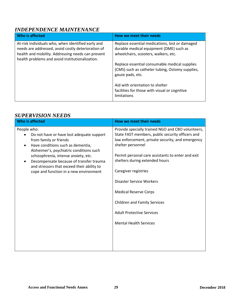# *INDEPENDENCE MAINTENANCE*

| Who is affected                                                                                                                                                                                                  | How we meet their needs                                                                                                           |
|------------------------------------------------------------------------------------------------------------------------------------------------------------------------------------------------------------------|-----------------------------------------------------------------------------------------------------------------------------------|
| At-risk individuals who, when identified early and<br>needs are addressed, avoid costly deterioration of<br>health and mobility. Addressing needs can prevent<br>health problems and avoid institutionalization. | Replace essential medications, lost or damaged<br>durable medical equipment (DME) such as<br>wheelchairs, scooters, walkers, etc. |
|                                                                                                                                                                                                                  | Replace essential consumable medical supplies<br>(CMS) such as catheter tubing, Ostomy supplies,<br>gauze pads, etc.              |
|                                                                                                                                                                                                                  | Aid with orientation to shelter<br>facilities for those with visual or cognitive<br>limitations                                   |

## *SUPERVISION NEEDS*

| <b>Who is affected</b>                                                                                                                                                                                                                                                                                                                                      | How we meet their needs                                                                                                                                                                                                                                                                                                                                                                                                                                               |
|-------------------------------------------------------------------------------------------------------------------------------------------------------------------------------------------------------------------------------------------------------------------------------------------------------------------------------------------------------------|-----------------------------------------------------------------------------------------------------------------------------------------------------------------------------------------------------------------------------------------------------------------------------------------------------------------------------------------------------------------------------------------------------------------------------------------------------------------------|
| People who:<br>Do not have or have lost adequate support<br>from family or friends<br>Have conditions such as dementia,<br>$\bullet$<br>Alzheimer's, psychiatric conditions such<br>schizophrenia, intense anxiety, etc.<br>Decompensate because of transfer trauma<br>and stressors that exceed their ability to<br>cope and function in a new environment | Provide specially trained NGO and CBO volunteers,<br>State FAST members, public security officers and<br>law enforcement, private security, and emergency<br>shelter personnel<br>Permit personal care assistants to enter and exit<br>shelters during extended hours<br>Caregiver registries<br>Disaster Service Workers<br><b>Medical Reserve Corps</b><br><b>Children and Family Services</b><br><b>Adult Protective Services</b><br><b>Mental Health Services</b> |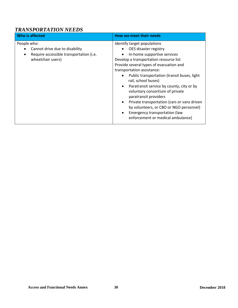# *TRANSPORTATION NEEDS*

| Who is affected                                                                                               | How we meet their needs                                                                                                                                                                                                                                                                                                                                                                                                                                                                                                                                                         |
|---------------------------------------------------------------------------------------------------------------|---------------------------------------------------------------------------------------------------------------------------------------------------------------------------------------------------------------------------------------------------------------------------------------------------------------------------------------------------------------------------------------------------------------------------------------------------------------------------------------------------------------------------------------------------------------------------------|
| People who:<br>Cannot drive due to disability<br>Require accessible transportation (i.e.<br>wheelchair users) | Identify target populations<br>OES disaster registry<br>In-home supportive services<br>Develop a transportation resource list<br>Provide several types of evacuation and<br>transportation assistance:<br>Public transportation (transit buses, light<br>rail, school buses)<br>Paratransit service by county, city or by<br>$\bullet$<br>voluntary consortium of private<br>paratransit providers<br>Private transportation (cars or vans driven<br>$\bullet$<br>by volunteers, or CBO or NGO personnel)<br>Emergency transportation (law<br>enforcement or medical ambulance) |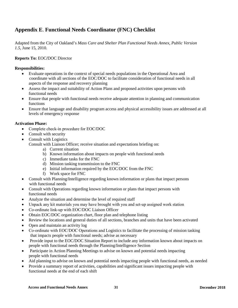# **Appendix E**. **Functional Needs Coordinator (FNC) Checklist**

Adapted from the City of Oakland's *Mass Care and Shelter Plan Functional Needs Annex, Public Version 1.5*, June 15, 2010.

#### **Reports To:** EOC**/**DOC Director

#### **Responsibilities:**

- Evaluate operations in the context of special needs populations in the Operational Area and coordinate with all sections of the EOC/DOC to facilitate consideration of functional needs in all aspects of the response and recovery planning
- Assess the impact and suitability of Action Plans and proposed activities upon persons with functional needs
- Ensure that people with functional needs receive adequate attention in planning and communication functions
- Ensure that language and disability program access and physical accessibility issues are addressed at all levels of emergency response

#### **Activation Phase:**

- Complete check-in procedure for EOC/DOC
- Consult with security
- Consult with Logistics

Consult with Liaison Officer; receive situation and expectations briefing on:

- a) Current situation
- b) Known information about impacts on people with functional needs
- c) Immediate tasks for the FNC
- d) Mission tasking transmission to the FNC
- e) Initial information required by the EOC/DOC from the FNC
- f) Work space for FNC
- Consult with Planning/Intelligence regarding known information or plans that impact persons with functional needs
- Consult with Operations regarding known information or plans that impact persons with functional needs
- Analyze the situation and determine the level of required staff
- Unpack any kit materials you may have brought with you and set-up assigned work station
- Co-ordinate link-up with EOC/DOC Liaison Officer
- Obtain EOC/DOC organization chart, floor plan and telephone listing
- Review the locations and general duties of all sections, branches and units that have been activated
- Open and maintain an activity log
- Co-ordinate with EOC/DOC Operations and Logistics to facilitate the processing of mission tasking that impacts people with functional needs; advise as necessary
- Provide input to the EOC/DOC Situation Report to include any information known about impacts on people with functional needs through the Planning/Intelligence Section
- Participate in Action Planning Meetings to advise on known and potential needs impacting people with functional needs
- Aid planning to advise on known and potential needs impacting people with functional needs, as needed
- Provide a summary report of activities, capabilities and significant issues impacting people with functional needs at the end of each shift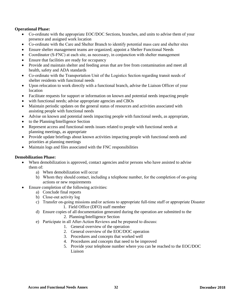#### **Operational Phase:**

- Co-ordinate with the appropriate EOC/DOC Sections, branches, and units to advise them of your presence and assigned work location
- Co-ordinate with the Care and Shelter Branch to identify potential mass care and shelter sites
- Ensure shelter management teams are organized; appoint a Shelter Functional Needs
- Coordinator (S-FNC) at each site, as necessary, in conjunction with shelter management
- Ensure that facilities are ready for occupancy
- Provide and maintain shelter and feeding areas that are free from contamination and meet all health, safety and ADA standards
- Co-ordinate with the Transportation Unit of the Logistics Section regarding transit needs of shelter residents with functional needs
- Upon relocation to work directly with a functional branch, advise the Liaison Officer of your location
- Facilitate requests for support or information on known and potential needs impacting people
- with functional needs; advise appropriate agencies and CBOs
- Maintain periodic updates on the general status of resources and activities associated with assisting people with functional needs
- Advise on known and potential needs impacting people with functional needs, as appropriate,
- to the Planning/Intelligence Section
- Represent access and functional needs issues related to people with functional needs at planning meetings, as appropriate
- Provide update briefings about known activities impacting people with functional needs and priorities at planning meetings
- Maintain logs and files associated with the FNC responsibilities

#### **Demobilization Phase:**

- When demobilization is approved, contact agencies and/or persons who have assisted to advise them of:
	- a) When demobilization will occur
	- b) Whom they should contact, including a telephone number, for the completion of on‐going actions or new requirements
- Ensure completion of the following activities:
	- a) Conclude final reports
	- b) Close‐out activity log
	- c) Transfer on‐going missions and/or actions to appropriate full‐time staff or appropriate Disaster 1. Field Office (DFO) staff member
	- d) Ensure copies of all documentation generated during the operation are submitted to the 2. Planning/Intelligence Section
	- e) Participate in all After‐Action Reviews and be prepared to discuss:
		- 1. General overview of the operation
		- 2. General overview of the EOC/DOC operation
		- 3. Procedures and concepts that worked well
		- 4. Procedures and concepts that need to be improved
		- 5. Provide your telephone number where you can be reached to the EOC/DOC Liaison